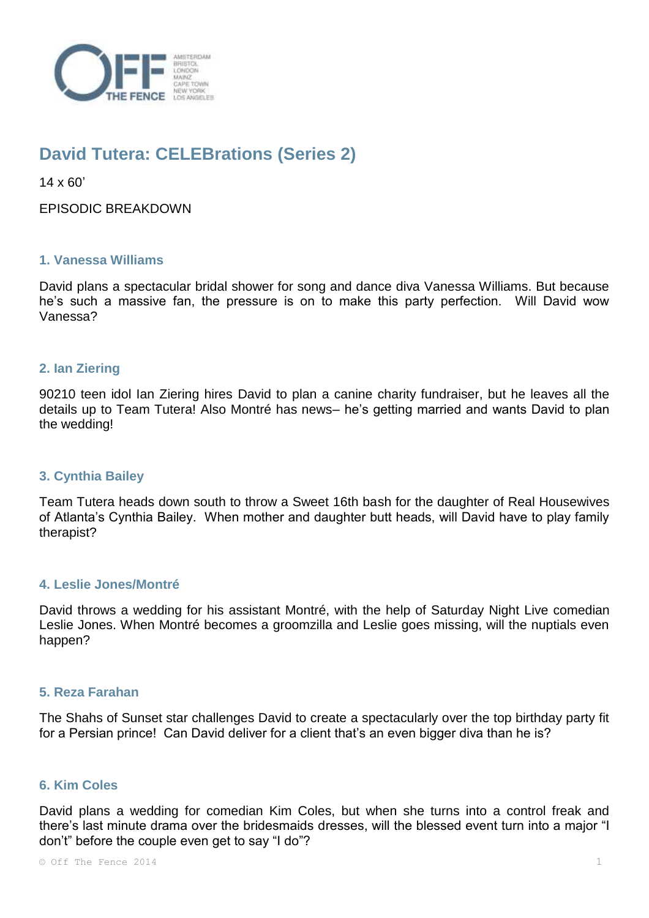

# **David Tutera: CELEBrations (Series 2)**

 $14 \times 60'$ 

EPISODIC BREAKDOWN

# **1. Vanessa Williams**

David plans a spectacular bridal shower for song and dance diva Vanessa Williams. But because he's such a massive fan, the pressure is on to make this party perfection. Will David wow Vanessa?

# **2. Ian Ziering**

90210 teen idol Ian Ziering hires David to plan a canine charity fundraiser, but he leaves all the details up to Team Tutera! Also Montré has news– he's getting married and wants David to plan the wedding!

## **3. Cynthia Bailey**

Team Tutera heads down south to throw a Sweet 16th bash for the daughter of Real Housewives of Atlanta's Cynthia Bailey. When mother and daughter butt heads, will David have to play family therapist?

## **4. Leslie Jones/Montré**

David throws a wedding for his assistant Montré, with the help of Saturday Night Live comedian Leslie Jones. When Montré becomes a groomzilla and Leslie goes missing, will the nuptials even happen?

## **5. Reza Farahan**

The Shahs of Sunset star challenges David to create a spectacularly over the top birthday party fit for a Persian prince! Can David deliver for a client that's an even bigger diva than he is?

# **6. Kim Coles**

David plans a wedding for comedian Kim Coles, but when she turns into a control freak and there's last minute drama over the bridesmaids dresses, will the blessed event turn into a major "I don't" before the couple even get to say "I do"?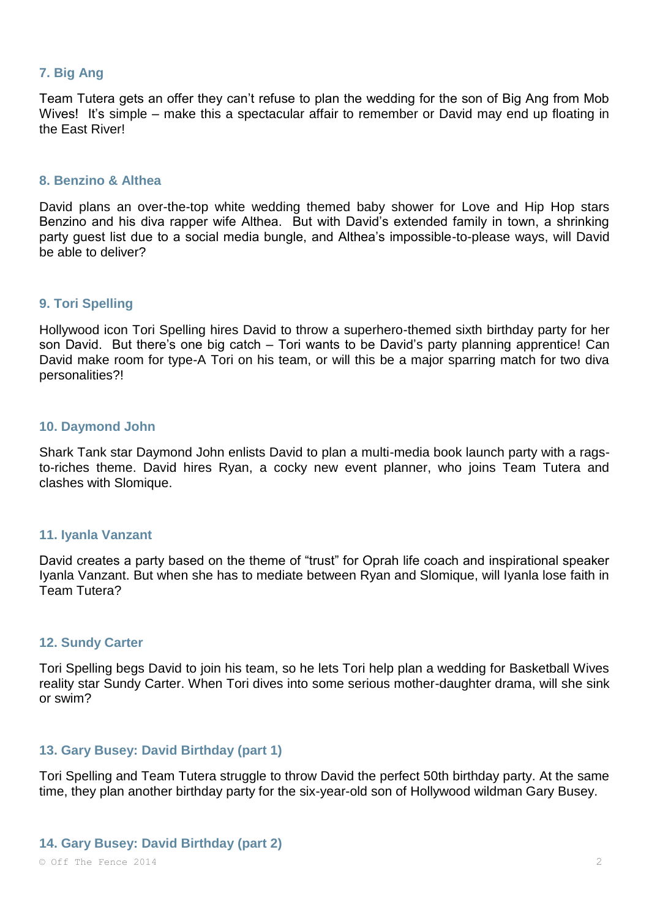## **7. Big Ang**

Team Tutera gets an offer they can't refuse to plan the wedding for the son of Big Ang from Mob Wives! It's simple – make this a spectacular affair to remember or David may end up floating in the East River!

#### **8. Benzino & Althea**

David plans an over-the-top white wedding themed baby shower for Love and Hip Hop stars Benzino and his diva rapper wife Althea. But with David's extended family in town, a shrinking party guest list due to a social media bungle, and Althea's impossible-to-please ways, will David be able to deliver?

## **9. Tori Spelling**

Hollywood icon Tori Spelling hires David to throw a superhero-themed sixth birthday party for her son David. But there's one big catch – Tori wants to be David's party planning apprentice! Can David make room for type-A Tori on his team, or will this be a major sparring match for two diva personalities?!

#### **10. Daymond John**

Shark Tank star Daymond John enlists David to plan a multi-media book launch party with a ragsto-riches theme. David hires Ryan, a cocky new event planner, who joins Team Tutera and clashes with Slomique.

#### **11. Iyanla Vanzant**

David creates a party based on the theme of "trust" for Oprah life coach and inspirational speaker Iyanla Vanzant. But when she has to mediate between Ryan and Slomique, will Iyanla lose faith in Team Tutera?

#### **12. Sundy Carter**

Tori Spelling begs David to join his team, so he lets Tori help plan a wedding for Basketball Wives reality star Sundy Carter. When Tori dives into some serious mother-daughter drama, will she sink or swim?

#### **13. Gary Busey: David Birthday (part 1)**

Tori Spelling and Team Tutera struggle to throw David the perfect 50th birthday party. At the same time, they plan another birthday party for the six-year-old son of Hollywood wildman Gary Busey.